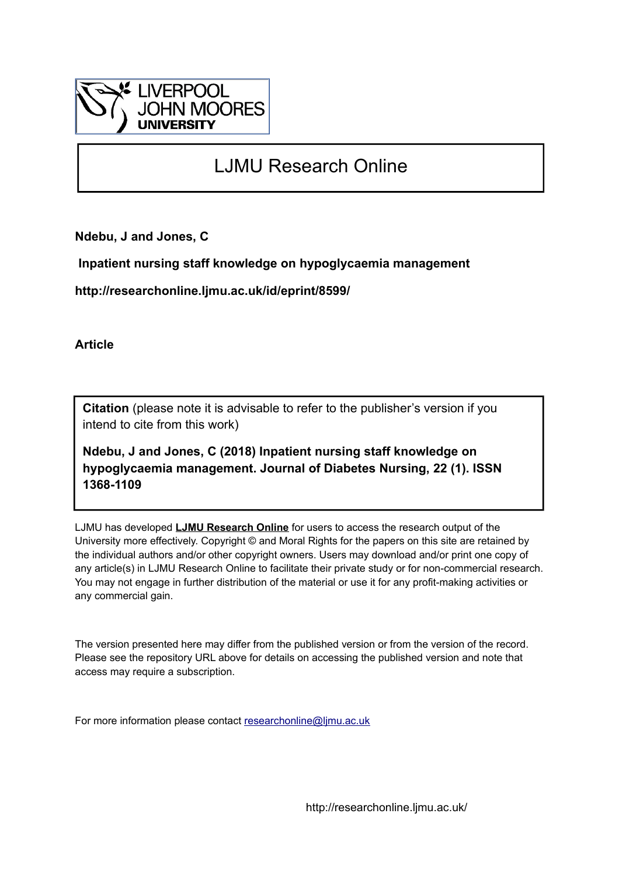

## LJMU Research Online

**Ndebu, J and Jones, C**

 **Inpatient nursing staff knowledge on hypoglycaemia management**

**http://researchonline.ljmu.ac.uk/id/eprint/8599/**

**Article**

**Citation** (please note it is advisable to refer to the publisher's version if you intend to cite from this work)

**Ndebu, J and Jones, C (2018) Inpatient nursing staff knowledge on hypoglycaemia management. Journal of Diabetes Nursing, 22 (1). ISSN 1368-1109** 

LJMU has developed **[LJMU Research Online](http://researchonline.ljmu.ac.uk/)** for users to access the research output of the University more effectively. Copyright © and Moral Rights for the papers on this site are retained by the individual authors and/or other copyright owners. Users may download and/or print one copy of any article(s) in LJMU Research Online to facilitate their private study or for non-commercial research. You may not engage in further distribution of the material or use it for any profit-making activities or any commercial gain.

The version presented here may differ from the published version or from the version of the record. Please see the repository URL above for details on accessing the published version and note that access may require a subscription.

For more information please contact [researchonline@ljmu.ac.uk](mailto:researchonline@ljmu.ac.uk)

http://researchonline.ljmu.ac.uk/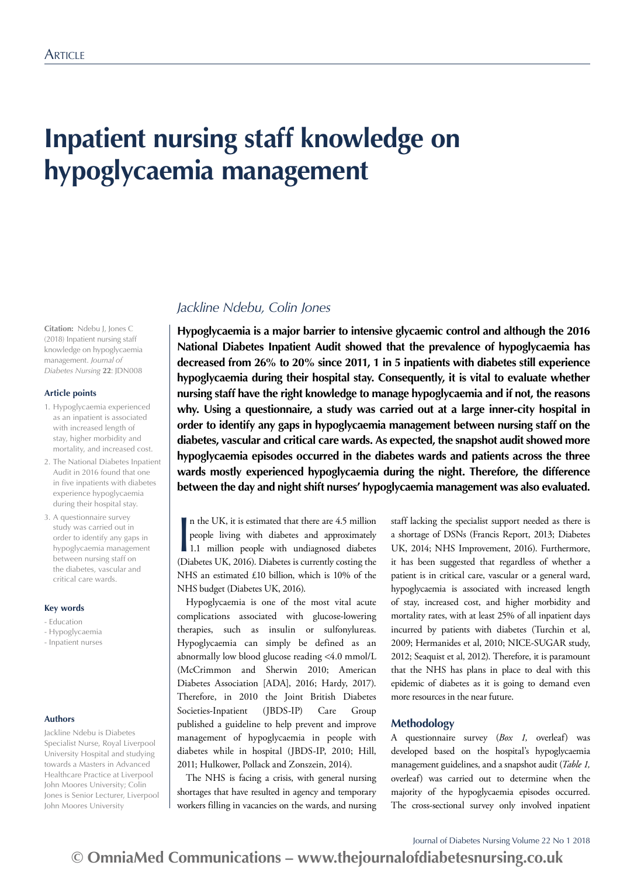# **Inpatient nursing staff knowledge on hypoglycaemia management**

**Citation:** Ndebu J, Jones C (2018) Inpatient nursing staff knowledge on hypoglycaemia management. *Journal of Diabetes Nursing* **22**: JDN008

### **Article points**

- 1. Hypoglycaemia experienced as an inpatient is associated with increased length of stay, higher morbidity and mortality, and increased cost.
- 2. The National Diabetes Inpatient Audit in 2016 found that one in five inpatients with diabetes experience hypoglycaemia during their hospital stay.
- 3. A questionnaire survey study was carried out in order to identify any gaps in hypoglycaemia management between nursing staff on the diabetes, vascular and critical care wards.

#### **Key words**

- Education
- Hypoglycaemia - Inpatient nurses

#### **Authors**

Jackline Ndebu is Diabetes Specialist Nurse, Royal Liverpool University Hospital and studying towards a Masters in Advanced Healthcare Practice at Liverpool John Moores University; Colin Jones is Senior Lecturer, Liverpool John Moores University

### *Jackline Ndebu, Colin Jones*

**Hypoglycaemia is a major barrier to intensive glycaemic control and although the 2016 National Diabetes Inpatient Audit showed that the prevalence of hypoglycaemia has decreased from 26% to 20% since 2011, 1 in 5 inpatients with diabetes still experience hypoglycaemia during their hospital stay. Consequently, it is vital to evaluate whether nursing staff have the right knowledge to manage hypoglycaemia and if not, the reasons why. Using a questionnaire, a study was carried out at a large inner-city hospital in order to identify any gaps in hypoglycaemia management between nursing staff on the diabetes, vascular and critical care wards. As expected, the snapshot audit showed more hypoglycaemia episodes occurred in the diabetes wards and patients across the three wards mostly experienced hypoglycaemia during the night. Therefore, the difference between the day and night shift nurses' hypoglycaemia management was also evaluated.** 

In the UK, it is estimated that there are 4.5 million<br>people living with diabetes and approximately<br>1.1 million people with undiagnosed diabetes<br>(Diabetes UK, 2016). Diabetes is currently costing the n the UK, it is estimated that there are 4.5 million people living with diabetes and approximately 1.1 million people with undiagnosed diabetes NHS an estimated £10 billion, which is 10% of the NHS budget (Diabetes UK, 2016).

Hypoglycaemia is one of the most vital acute complications associated with glucose-lowering therapies, such as insulin or sulfonylureas. Hypoglycaemia can simply be defined as an abnormally low blood glucose reading <4.0 mmol/L (McCrimmon and Sherwin 2010; American Diabetes Association [ADA], 2016; Hardy, 2017). Therefore, in 2010 the Joint British Diabetes Societies-Inpatient (JBDS-IP) Care Group published a guideline to help prevent and improve management of hypoglycaemia in people with diabetes while in hospital (JBDS-IP, 2010; Hill, 2011; Hulkower, Pollack and Zonszein, 2014).

The NHS is facing a crisis, with general nursing shortages that have resulted in agency and temporary workers filling in vacancies on the wards, and nursing staff lacking the specialist support needed as there is a shortage of DSNs (Francis Report, 2013; Diabetes UK, 2014; NHS Improvement, 2016). Furthermore, it has been suggested that regardless of whether a patient is in critical care, vascular or a general ward, hypoglycaemia is associated with increased length of stay, increased cost, and higher morbidity and mortality rates, with at least 25% of all inpatient days incurred by patients with diabetes (Turchin et al, 2009; Hermanides et al, 2010; NICE-SUGAR study, 2012; Seaquist et al, 2012). Therefore, it is paramount that the NHS has plans in place to deal with this epidemic of diabetes as it is going to demand even more resources in the near future.

### **Methodology**

A questionnaire survey (*Box 1,* overleaf) was developed based on the hospital's hypoglycaemia management guidelines, and a snapshot audit (*Table 1,*  overleaf) was carried out to determine when the majority of the hypoglycaemia episodes occurred. The cross-sectional survey only involved inpatient

Journal of Diabetes Nursing Volume 22 No 1 2018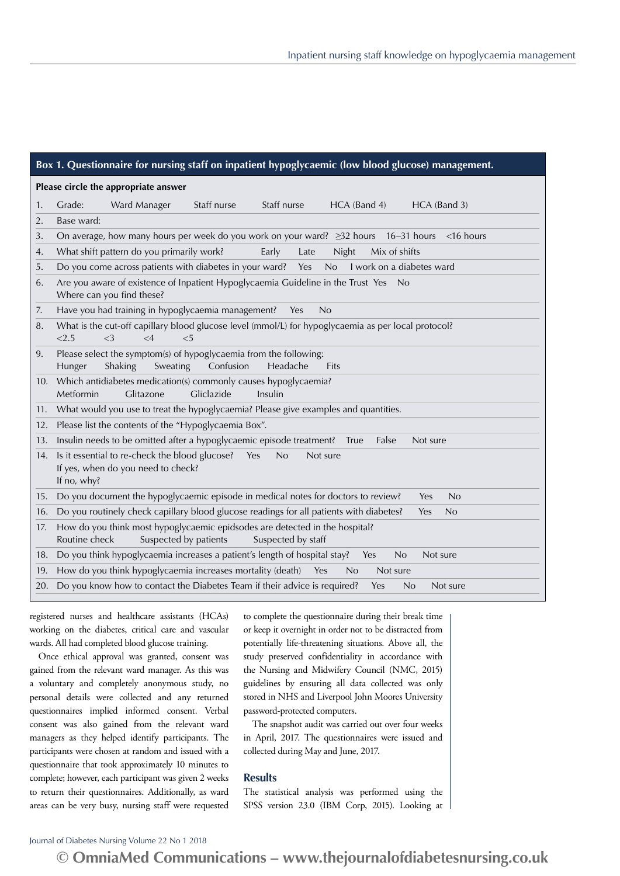| Box 1. Questionnaire for nursing staff on inpatient hypoglycaemic (low blood glucose) management. |                                                                                                                                             |  |  |  |  |
|---------------------------------------------------------------------------------------------------|---------------------------------------------------------------------------------------------------------------------------------------------|--|--|--|--|
| Please circle the appropriate answer                                                              |                                                                                                                                             |  |  |  |  |
| 1.                                                                                                | Staff nurse<br>Staff nurse<br>Grade:<br>Ward Manager<br>HCA (Band 4)<br>HCA (Band 3)                                                        |  |  |  |  |
| 2.                                                                                                | Base ward:                                                                                                                                  |  |  |  |  |
| 3.                                                                                                | On average, how many hours per week do you work on your ward? ≥32 hours 16-31 hours<br>$<$ 16 hours                                         |  |  |  |  |
| 4.                                                                                                | What shift pattern do you primarily work?<br>Early<br>Night<br>Mix of shifts<br>Late                                                        |  |  |  |  |
| 5.                                                                                                | Do you come across patients with diabetes in your ward? Yes<br>No<br>I work on a diabetes ward                                              |  |  |  |  |
| 6.                                                                                                | Are you aware of existence of Inpatient Hypoglycaemia Guideline in the Trust Yes<br>- No<br>Where can you find these?                       |  |  |  |  |
| 7.                                                                                                | Have you had training in hypoglycaemia management?<br>No<br>Yes                                                                             |  |  |  |  |
| 8.                                                                                                | What is the cut-off capillary blood glucose level (mmol/L) for hypoglycaemia as per local protocol?<br>< 2.5<br><3<br>$\leq 4$<br>$<$ 5     |  |  |  |  |
| 9.                                                                                                | Please select the symptom(s) of hypoglycaemia from the following:<br>Shaking<br>Sweating<br>Confusion<br>Hunger<br>Headache<br>Fits         |  |  |  |  |
| 10.                                                                                               | Which antidiabetes medication(s) commonly causes hypoglycaemia?<br>Gliclazide<br>Metformin<br>Glitazone<br>Insulin                          |  |  |  |  |
| 11.                                                                                               | What would you use to treat the hypoglycaemia? Please give examples and quantities.                                                         |  |  |  |  |
| 12.                                                                                               | Please list the contents of the "Hypoglycaemia Box".                                                                                        |  |  |  |  |
| 13.                                                                                               | Insulin needs to be omitted after a hypoglycaemic episode treatment? True<br>False<br>Not sure                                              |  |  |  |  |
| 14.                                                                                               | Is it essential to re-check the blood glucose?<br>Yes<br>No<br>Not sure<br>If yes, when do you need to check?<br>If no, why?                |  |  |  |  |
| 15.                                                                                               | Do you document the hypoglycaemic episode in medical notes for doctors to review?<br>No<br>Yes                                              |  |  |  |  |
| 16.                                                                                               | Do you routinely check capillary blood glucose readings for all patients with diabetes?<br>Yes<br>No                                        |  |  |  |  |
| 17.                                                                                               | How do you think most hypoglycaemic epidsodes are detected in the hospital?<br>Routine check<br>Suspected by patients<br>Suspected by staff |  |  |  |  |
| 18.                                                                                               | Do you think hypoglycaemia increases a patient's length of hospital stay?<br>No<br>Not sure<br>Yes                                          |  |  |  |  |
| 19.                                                                                               | How do you think hypoglycaemia increases mortality (death)<br>Yes<br>No<br>Not sure                                                         |  |  |  |  |
| 20.                                                                                               | Do you know how to contact the Diabetes Team if their advice is required?<br>Yes<br>No<br>Not sure                                          |  |  |  |  |
|                                                                                                   |                                                                                                                                             |  |  |  |  |

registered nurses and healthcare assistants (HCAs) working on the diabetes, critical care and vascular wards. All had completed blood glucose training.

Once ethical approval was granted, consent was gained from the relevant ward manager. As this was a voluntary and completely anonymous study, no personal details were collected and any returned questionnaires implied informed consent. Verbal consent was also gained from the relevant ward managers as they helped identify participants. The participants were chosen at random and issued with a questionnaire that took approximately 10 minutes to complete; however, each participant was given 2 weeks to return their questionnaires. Additionally, as ward areas can be very busy, nursing staff were requested

to complete the questionnaire during their break time or keep it overnight in order not to be distracted from potentially life-threatening situations. Above all, the study preserved confidentiality in accordance with the Nursing and Midwifery Council (NMC, 2015) guidelines by ensuring all data collected was only stored in NHS and Liverpool John Moores University password-protected computers.

The snapshot audit was carried out over four weeks in April, 2017. The questionnaires were issued and collected during May and June, 2017.

### **Results**

The statistical analysis was performed using the SPSS version 23.0 (IBM Corp, 2015). Looking at

### Journal of Diabetes Nursing Volume 22 No 1 2018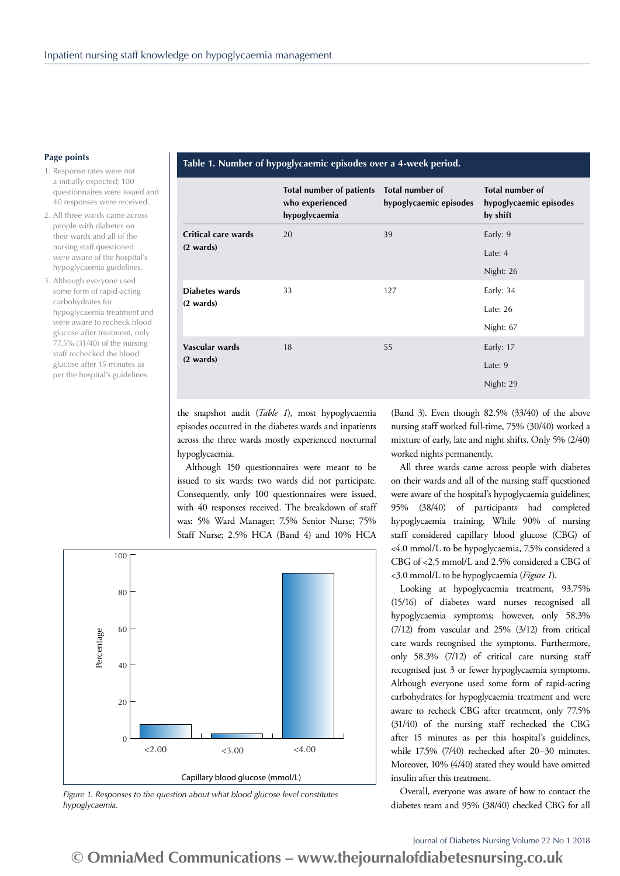#### **Page points**

- 1. Response rates were not a initially expected; 100 questionnaires were issued and 40 responses were received.
- 2. All three wards came across people with diabetes on their wards and all of the nursing staff questioned were aware of the hospital's hypoglycaemia guidelines.
- 3. Although everyone used some form of rapid-acting carbohydrates for hypoglycaemia treatment and were aware to recheck blood glucose after treatment, only 77.5% (31/40) of the nursing staff rechecked the blood glucose after 15 minutes as per the hospital's guidelines.

### **Table 1. Number of hypoglycaemic episodes over a 4-week period.**

|                     | Total number of patients<br>who experienced<br>hypoglycaemia | Total number of<br>hypoglycaemic episodes | Total number of<br>hypoglycaemic episodes<br>by shift |
|---------------------|--------------------------------------------------------------|-------------------------------------------|-------------------------------------------------------|
| Critical care wards | 20                                                           | 39                                        | Early: 9                                              |
| $(2 \text{wards})$  |                                                              |                                           | Late: $4$                                             |
|                     |                                                              |                                           | Night: 26                                             |
| Diabetes wards      | 33                                                           | 127                                       | Early: 34                                             |
| $(2 \text{wards})$  |                                                              |                                           | Late: $26$                                            |
|                     |                                                              |                                           | Night: 67                                             |
| Vascular wards      | 18                                                           | 55                                        | Early: 17                                             |
| $(2 \text{wards})$  |                                                              |                                           | Late: 9                                               |
|                     |                                                              |                                           | Night: 29                                             |

the snapshot audit (*Table 1*), most hypoglycaemia episodes occurred in the diabetes wards and inpatients across the three wards mostly experienced nocturnal hypoglycaemia.

Although 150 questionnaires were meant to be issued to six wards; two wards did not participate. Consequently, only 100 questionnaires were issued, with 40 responses received. The breakdown of staff was: 5% Ward Manager; 7.5% Senior Nurse; 75% Staff Nurse; 2.5% HCA (Band 4) and 10% HCA



*Figure 1. Responses to the question about what blood glucose level constitutes hypoglycaemia.*

(Band 3). Even though 82.5% (33/40) of the above nursing staff worked full-time, 75% (30/40) worked a mixture of early, late and night shifts. Only 5% (2/40) worked nights permanently.

All three wards came across people with diabetes on their wards and all of the nursing staff questioned were aware of the hospital's hypoglycaemia guidelines; 95% (38/40) of participants had completed hypoglycaemia training. While 90% of nursing staff considered capillary blood glucose (CBG) of <4.0 mmol/L to be hypoglycaemia, 7.5% considered a CBG of <2.5 mmol/L and 2.5% considered a CBG of <3.0 mmol/L to be hypoglycaemia (*Figure 1*).

Looking at hypoglycaemia treatment, 93.75% (15/16) of diabetes ward nurses recognised all hypoglycaemia symptoms; however, only 58.3% (7/12) from vascular and 25% (3/12) from critical care wards recognised the symptoms. Furthermore, only 58.3% (7/12) of critical care nursing staff recognised just 3 or fewer hypoglycaemia symptoms. Although everyone used some form of rapid-acting carbohydrates for hypoglycaemia treatment and were aware to recheck CBG after treatment, only 77.5% (31/40) of the nursing staff rechecked the CBG after 15 minutes as per this hospital's guidelines, while 17.5% (7/40) rechecked after 20–30 minutes. Moreover, 10% (4/40) stated they would have omitted insulin after this treatment.

Overall, everyone was aware of how to contact the diabetes team and 95% (38/40) checked CBG for all

Journal of Diabetes Nursing Volume 22 No 1 2018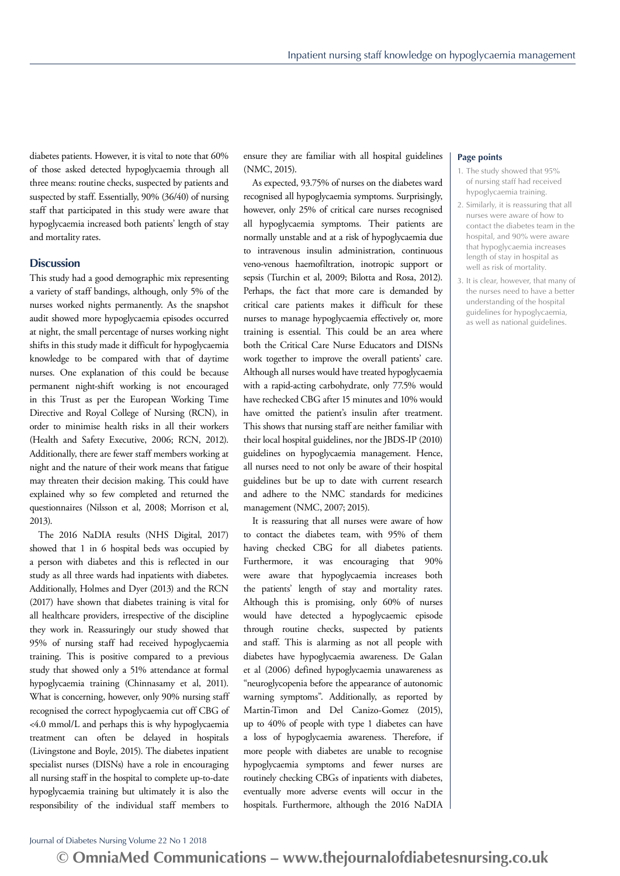diabetes patients. However, it is vital to note that 60% of those asked detected hypoglycaemia through all three means: routine checks, suspected by patients and suspected by staff. Essentially, 90% (36/40) of nursing staff that participated in this study were aware that hypoglycaemia increased both patients' length of stay and mortality rates.

### **Discussion**

This study had a good demographic mix representing a variety of staff bandings, although, only 5% of the nurses worked nights permanently. As the snapshot audit showed more hypoglycaemia episodes occurred at night, the small percentage of nurses working night shifts in this study made it difficult for hypoglycaemia knowledge to be compared with that of daytime nurses. One explanation of this could be because permanent night-shift working is not encouraged in this Trust as per the European Working Time Directive and Royal College of Nursing (RCN), in order to minimise health risks in all their workers (Health and Safety Executive, 2006; RCN, 2012). Additionally, there are fewer staff members working at night and the nature of their work means that fatigue may threaten their decision making. This could have explained why so few completed and returned the questionnaires (Nilsson et al, 2008; Morrison et al, 2013).

The 2016 NaDIA results (NHS Digital, 2017) showed that 1 in 6 hospital beds was occupied by a person with diabetes and this is reflected in our study as all three wards had inpatients with diabetes. Additionally, Holmes and Dyer (2013) and the RCN (2017) have shown that diabetes training is vital for all healthcare providers, irrespective of the discipline they work in. Reassuringly our study showed that 95% of nursing staff had received hypoglycaemia training. This is positive compared to a previous study that showed only a 51% attendance at formal hypoglycaemia training (Chinnasamy et al, 2011). What is concerning, however, only 90% nursing staff recognised the correct hypoglycaemia cut off CBG of <4.0 mmol/L and perhaps this is why hypoglycaemia treatment can often be delayed in hospitals (Livingstone and Boyle, 2015). The diabetes inpatient specialist nurses (DISNs) have a role in encouraging all nursing staff in the hospital to complete up-to-date hypoglycaemia training but ultimately it is also the responsibility of the individual staff members to

ensure they are familiar with all hospital guidelines (NMC, 2015).

As expected, 93.75% of nurses on the diabetes ward recognised all hypoglycaemia symptoms. Surprisingly, however, only 25% of critical care nurses recognised all hypoglycaemia symptoms. Their patients are normally unstable and at a risk of hypoglycaemia due to intravenous insulin administration, continuous veno-venous haemofiltration, inotropic support or sepsis (Turchin et al, 2009; Bilotta and Rosa, 2012). Perhaps, the fact that more care is demanded by critical care patients makes it difficult for these nurses to manage hypoglycaemia effectively or, more training is essential. This could be an area where both the Critical Care Nurse Educators and DISNs work together to improve the overall patients' care. Although all nurses would have treated hypoglycaemia with a rapid-acting carbohydrate, only 77.5% would have rechecked CBG after 15 minutes and 10% would have omitted the patient's insulin after treatment. This shows that nursing staff are neither familiar with their local hospital guidelines, nor the JBDS-IP (2010) guidelines on hypoglycaemia management. Hence, all nurses need to not only be aware of their hospital guidelines but be up to date with current research and adhere to the NMC standards for medicines management (NMC, 2007; 2015).

It is reassuring that all nurses were aware of how to contact the diabetes team, with 95% of them having checked CBG for all diabetes patients. Furthermore, it was encouraging that 90% were aware that hypoglycaemia increases both the patients' length of stay and mortality rates. Although this is promising, only 60% of nurses would have detected a hypoglycaemic episode through routine checks, suspected by patients and staff. This is alarming as not all people with diabetes have hypoglycaemia awareness. De Galan et al (2006) defined hypoglycaemia unawareness as "neuroglycopenia before the appearance of autonomic warning symptoms". Additionally, as reported by Martin-Timon and Del Canizo-Gomez (2015), up to 40% of people with type 1 diabetes can have a loss of hypoglycaemia awareness. Therefore, if more people with diabetes are unable to recognise hypoglycaemia symptoms and fewer nurses are routinely checking CBGs of inpatients with diabetes, eventually more adverse events will occur in the hospitals. Furthermore, although the 2016 NaDIA

#### **Page points**

- 1. The study showed that 95% of nursing staff had received hypoglycaemia training.
- 2. Similarly, it is reassuring that all nurses were aware of how to contact the diabetes team in the hospital, and 90% were aware that hypoglycaemia increases length of stay in hospital as well as risk of mortality.
- 3. It is clear, however, that many of the nurses need to have a better understanding of the hospital guidelines for hypoglycaemia, as well as national guidelines.

### Journal of Diabetes Nursing Volume 22 No 1 2018

**© OmniaMed Communications – www.thejournalofdiabetesnursing.co.uk**